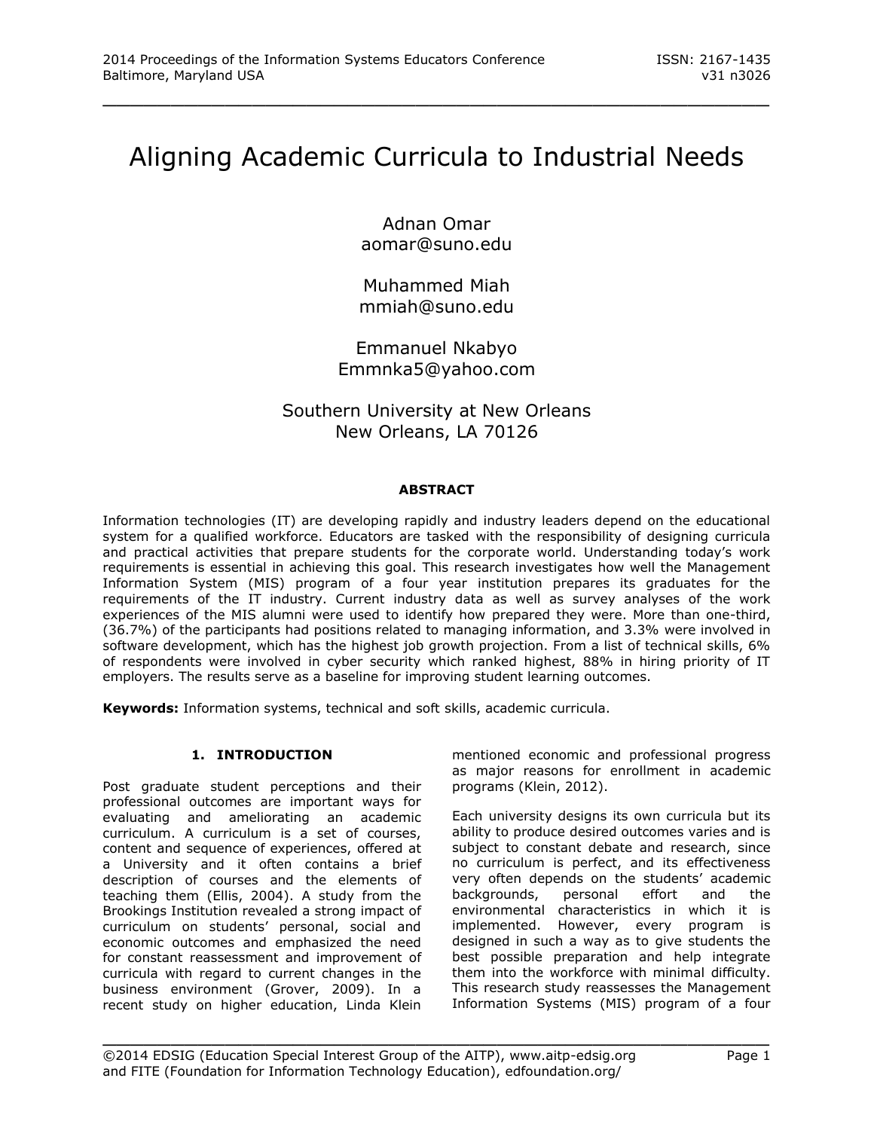# Aligning Academic Curricula to Industrial Needs

\_\_\_\_\_\_\_\_\_\_\_\_\_\_\_\_\_\_\_\_\_\_\_\_\_\_\_\_\_\_\_\_\_\_\_\_\_\_\_\_\_\_\_\_\_\_\_\_\_

Adnan Omar aomar@suno.edu

Muhammed Miah mmiah@suno.edu

Emmanuel Nkabyo Emmnka5@yahoo.com

# Southern University at New Orleans New Orleans, LA 70126

## **ABSTRACT**

Information technologies (IT) are developing rapidly and industry leaders depend on the educational system for a qualified workforce. Educators are tasked with the responsibility of designing curricula and practical activities that prepare students for the corporate world. Understanding today's work requirements is essential in achieving this goal. This research investigates how well the Management Information System (MIS) program of a four year institution prepares its graduates for the requirements of the IT industry. Current industry data as well as survey analyses of the work experiences of the MIS alumni were used to identify how prepared they were. More than one-third, (36.7%) of the participants had positions related to managing information, and 3.3% were involved in software development, which has the highest job growth projection. From a list of technical skills, 6% of respondents were involved in cyber security which ranked highest, 88% in hiring priority of IT employers. The results serve as a baseline for improving student learning outcomes.

**Keywords:** Information systems, technical and soft skills, academic curricula.

# **1. INTRODUCTION**

Post graduate student perceptions and their professional outcomes are important ways for evaluating and ameliorating an academic curriculum. A curriculum is a set of courses, content and sequence of experiences, offered at a University and it often contains a brief description of courses and the elements of teaching them (Ellis, 2004). A study from the Brookings Institution revealed a strong impact of curriculum on students' personal, social and economic outcomes and emphasized the need for constant reassessment and improvement of curricula with regard to current changes in the business environment (Grover, 2009). In a recent study on higher education, Linda Klein

mentioned economic and professional progress as major reasons for enrollment in academic programs (Klein, 2012).

Each university designs its own curricula but its ability to produce desired outcomes varies and is subject to constant debate and research, since no curriculum is perfect, and its effectiveness very often depends on the students' academic backgrounds, personal effort and the environmental characteristics in which it is implemented. However, every program is designed in such a way as to give students the best possible preparation and help integrate them into the workforce with minimal difficulty. This research study reassesses the Management Information Systems (MIS) program of a four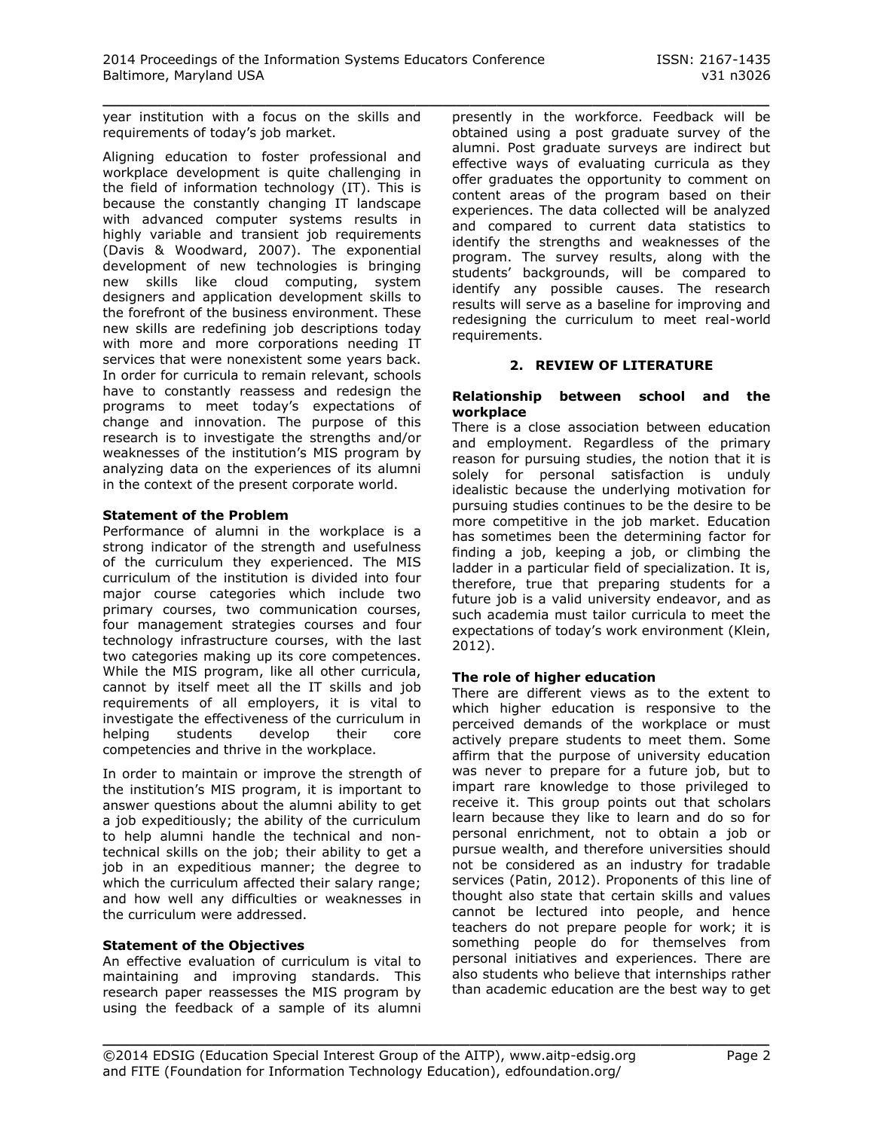year institution with a focus on the skills and requirements of today's job market.

Aligning education to foster professional and workplace development is quite challenging in the field of information technology (IT). This is because the constantly changing IT landscape with advanced computer systems results in highly variable and transient job requirements (Davis & Woodward, 2007). The exponential development of new technologies is bringing new skills like cloud computing, system designers and application development skills to the forefront of the business environment. These new skills are redefining job descriptions today with more and more corporations needing IT services that were nonexistent some years back. In order for curricula to remain relevant, schools have to constantly reassess and redesign the programs to meet today's expectations of change and innovation. The purpose of this research is to investigate the strengths and/or weaknesses of the institution's MIS program by analyzing data on the experiences of its alumni in the context of the present corporate world.

## **Statement of the Problem**

Performance of alumni in the workplace is a strong indicator of the strength and usefulness of the curriculum they experienced. The MIS curriculum of the institution is divided into four major course categories which include two primary courses, two communication courses, four management strategies courses and four technology infrastructure courses, with the last two categories making up its core competences. While the MIS program, like all other curricula, cannot by itself meet all the IT skills and job requirements of all employers, it is vital to investigate the effectiveness of the curriculum in helping students develop their core competencies and thrive in the workplace.

In order to maintain or improve the strength of the institution's MIS program, it is important to answer questions about the alumni ability to get a job expeditiously; the ability of the curriculum to help alumni handle the technical and nontechnical skills on the job; their ability to get a job in an expeditious manner; the degree to which the curriculum affected their salary range; and how well any difficulties or weaknesses in the curriculum were addressed.

#### **Statement of the Objectives**

An effective evaluation of curriculum is vital to maintaining and improving standards. This research paper reassesses the MIS program by using the feedback of a sample of its alumni

\_\_\_\_\_\_\_\_\_\_\_\_\_\_\_\_\_\_\_\_\_\_\_\_\_\_\_\_\_\_\_\_\_\_\_\_\_\_\_\_\_\_\_\_\_\_\_\_\_ presently in the workforce. Feedback will be obtained using a post graduate survey of the alumni. Post graduate surveys are indirect but effective ways of evaluating curricula as they offer graduates the opportunity to comment on content areas of the program based on their experiences. The data collected will be analyzed and compared to current data statistics to identify the strengths and weaknesses of the program. The survey results, along with the students' backgrounds, will be compared to identify any possible causes. The research results will serve as a baseline for improving and redesigning the curriculum to meet real-world requirements.

## **2. REVIEW OF LITERATURE**

#### **Relationship between school and the workplace**

There is a close association between education and employment. Regardless of the primary reason for pursuing studies, the notion that it is solely for personal satisfaction is unduly idealistic because the underlying motivation for pursuing studies continues to be the desire to be more competitive in the job market. Education has sometimes been the determining factor for finding a job, keeping a job, or climbing the ladder in a particular field of specialization. It is, therefore, true that preparing students for a future job is a valid university endeavor, and as such academia must tailor curricula to meet the expectations of today's work environment (Klein, 2012).

#### **The role of higher education**

There are different views as to the extent to which higher education is responsive to the perceived demands of the workplace or must actively prepare students to meet them. Some affirm that the purpose of university education was never to prepare for a future job, but to impart rare knowledge to those privileged to receive it. This group points out that scholars learn because they like to learn and do so for personal enrichment, not to obtain a job or pursue wealth, and therefore universities should not be considered as an industry for tradable services (Patin, 2012). Proponents of this line of thought also state that certain skills and values cannot be lectured into people, and hence teachers do not prepare people for work; it is something people do for themselves from personal initiatives and experiences. There are also students who believe that internships rather than academic education are the best way to get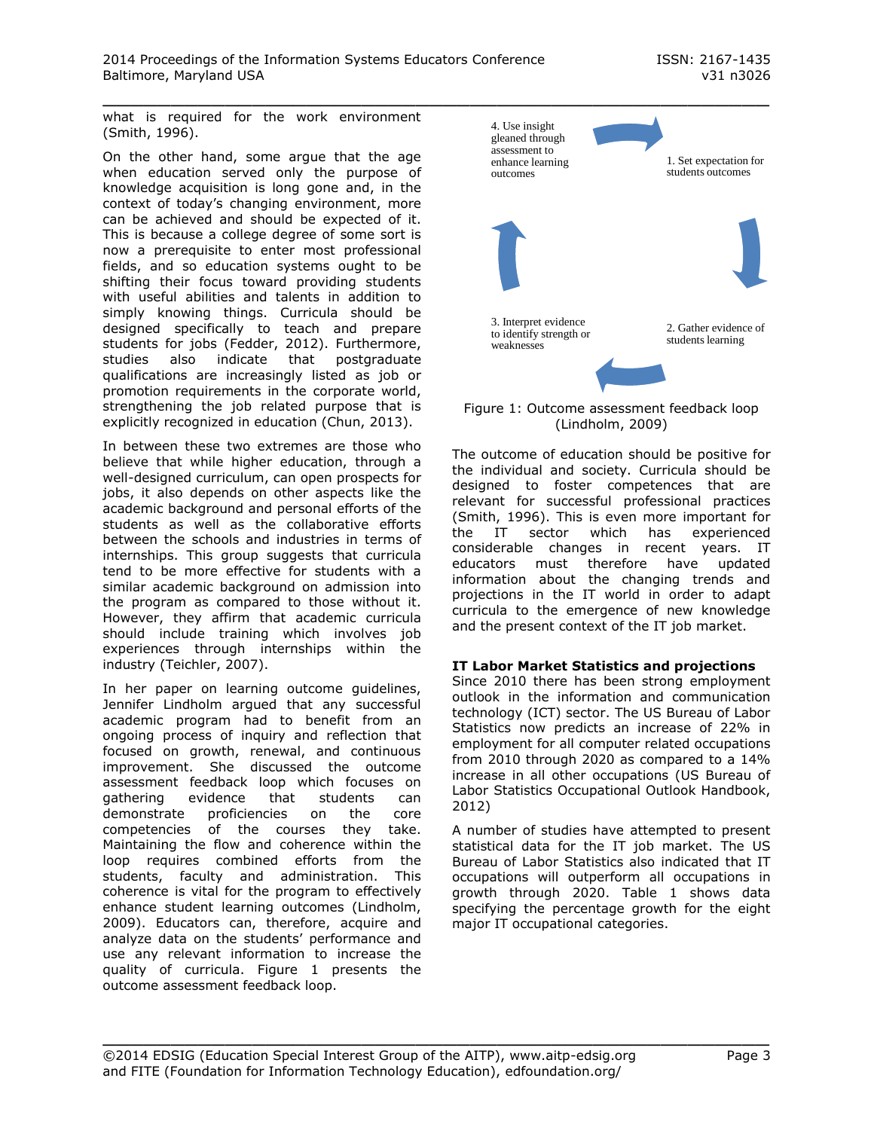what is required for the work environment (Smith, 1996).

On the other hand, some argue that the age when education served only the purpose of knowledge acquisition is long gone and, in the context of today's changing environment, more can be achieved and should be expected of it. This is because a college degree of some sort is now a prerequisite to enter most professional fields, and so education systems ought to be shifting their focus toward providing students with useful abilities and talents in addition to simply knowing things. Curricula should be designed specifically to teach and prepare students for jobs (Fedder, 2012). Furthermore, studies also indicate that postgraduate qualifications are increasingly listed as job or promotion requirements in the corporate world, strengthening the job related purpose that is explicitly recognized in education (Chun, 2013).

In between these two extremes are those who believe that while higher education, through a well-designed curriculum, can open prospects for jobs, it also depends on other aspects like the academic background and personal efforts of the students as well as the collaborative efforts between the schools and industries in terms of internships. This group suggests that curricula tend to be more effective for students with a similar academic background on admission into the program as compared to those without it. However, they affirm that academic curricula should include training which involves job experiences through internships within the industry (Teichler, 2007).

In her paper on learning outcome guidelines, Jennifer Lindholm argued that any successful academic program had to benefit from an ongoing process of inquiry and reflection that focused on growth, renewal, and continuous improvement. She discussed the outcome assessment feedback loop which focuses on gathering evidence that students can demonstrate proficiencies on the core competencies of the courses they take. Maintaining the flow and coherence within the loop requires combined efforts from the students, faculty and administration. This coherence is vital for the program to effectively enhance student learning outcomes (Lindholm, 2009). Educators can, therefore, acquire and analyze data on the students' performance and use any relevant information to increase the quality of curricula. Figure 1 presents the outcome assessment feedback loop.



Figure 1: Outcome assessment feedback loop (Lindholm, 2009)

The outcome of education should be positive for the individual and society. Curricula should be designed to foster competences that are relevant for successful professional practices (Smith, 1996). This is even more important for the IT sector which has experienced considerable changes in recent years. IT educators must therefore have updated information about the changing trends and projections in the IT world in order to adapt curricula to the emergence of new knowledge and the present context of the IT job market.

#### **IT Labor Market Statistics and projections**

Since 2010 there has been strong employment outlook in the information and communication technology (ICT) sector. The US Bureau of Labor Statistics now predicts an increase of 22% in employment for all computer related occupations from 2010 through 2020 as compared to a 14% increase in all other occupations (US Bureau of Labor Statistics Occupational Outlook Handbook, 2012)

A number of studies have attempted to present statistical data for the IT job market. The US Bureau of Labor Statistics also indicated that IT occupations will outperform all occupations in growth through 2020. Table 1 shows data specifying the percentage growth for the eight major IT occupational categories.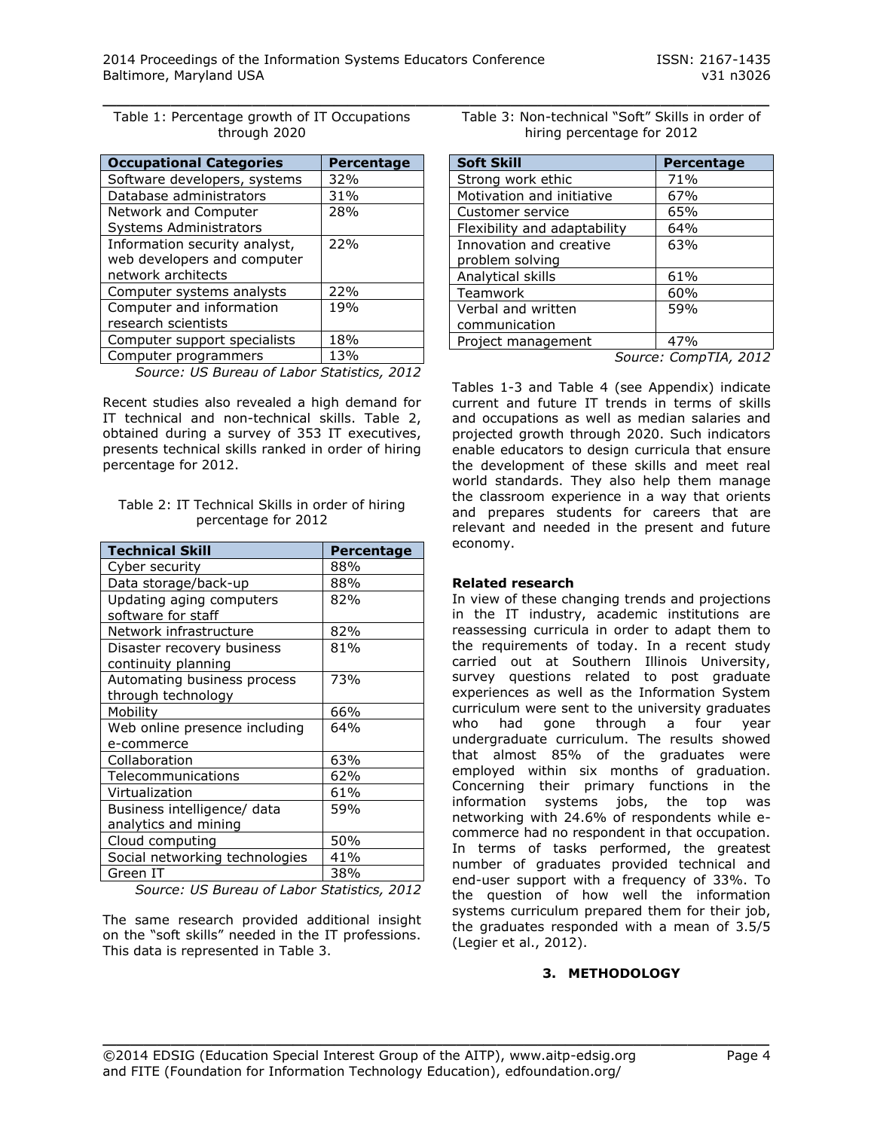Table 1: Percentage growth of IT Occupations through 2020

| <b>Occupational Categories</b> | <b>Percentage</b> |
|--------------------------------|-------------------|
| Software developers, systems   | 32%               |
| Database administrators        | 31%               |
| Network and Computer           | 28%               |
| <b>Systems Administrators</b>  |                   |
| Information security analyst,  | 22%               |
| web developers and computer    |                   |
| network architects             |                   |
| Computer systems analysts      | 22%               |
| Computer and information       | 19 <sub>%</sub>   |
| research scientists            |                   |
| Computer support specialists   | 18%               |
| Computer programmers           | 13%               |

*Source: US Bureau of Labor Statistics, 2012*

Recent studies also revealed a high demand for IT technical and non-technical skills. Table 2, obtained during a survey of 353 IT executives, presents technical skills ranked in order of hiring percentage for 2012.

| Table 2: IT Technical Skills in order of hiring |                     |  |  |  |
|-------------------------------------------------|---------------------|--|--|--|
|                                                 | percentage for 2012 |  |  |  |

| <b>Technical Skill</b>                              | <b>Percentage</b> |
|-----------------------------------------------------|-------------------|
| Cyber security                                      | 88%               |
| Data storage/back-up                                | 88%               |
| Updating aging computers<br>software for staff      | 82%               |
| Network infrastructure                              | 82%               |
| Disaster recovery business<br>continuity planning   | 81%               |
| Automating business process<br>through technology   | 73%               |
| Mobility                                            | 66%               |
| Web online presence including<br>e-commerce         | 64%               |
| Collaboration                                       | 63%               |
| Telecommunications                                  | 62%               |
| Virtualization                                      | 61%               |
| Business intelligence/ data<br>analytics and mining | 59%               |
| Cloud computing                                     | 50%               |
| Social networking technologies                      | 41%               |
| Green IT                                            | 38%               |

*Source: US Bureau of Labor Statistics, 2012*

The same research provided additional insight on the "soft skills" needed in the IT professions. This data is represented in Table 3.

| Table 3: Non-technical "Soft" Skills in order of |
|--------------------------------------------------|
| hiring percentage for 2012                       |

| <b>Soft Skill</b>            | Percentage |
|------------------------------|------------|
| Strong work ethic            | 71%        |
| Motivation and initiative    | 67%        |
| Customer service             | 65%        |
| Flexibility and adaptability | 64%        |
| Innovation and creative      | 63%        |
| problem solving              |            |
| Analytical skills            | 61%        |
| Teamwork                     | 60%        |
| Verbal and written           | 59%        |
| communication                |            |
| Project management           | 47%        |
|                              |            |

*Source: CompTIA, 2012*

Tables 1-3 and Table 4 (see Appendix) indicate current and future IT trends in terms of skills and occupations as well as median salaries and projected growth through 2020. Such indicators enable educators to design curricula that ensure the development of these skills and meet real world standards. They also help them manage the classroom experience in a way that orients and prepares students for careers that are relevant and needed in the present and future economy.

#### **Related research**

In view of these changing trends and projections in the IT industry, academic institutions are reassessing curricula in order to adapt them to the requirements of today. In a recent study carried out at Southern Illinois University, survey questions related to post graduate experiences as well as the Information System curriculum were sent to the university graduates who had gone through a four year undergraduate curriculum. The results showed that almost 85% of the graduates were employed within six months of graduation. Concerning their primary functions in the information systems jobs, the top was networking with 24.6% of respondents while ecommerce had no respondent in that occupation. In terms of tasks performed, the greatest number of graduates provided technical and end-user support with a frequency of 33%. To the question of how well the information systems curriculum prepared them for their job, the graduates responded with a mean of 3.5/5 (Legier et al., 2012).

# **3. METHODOLOGY**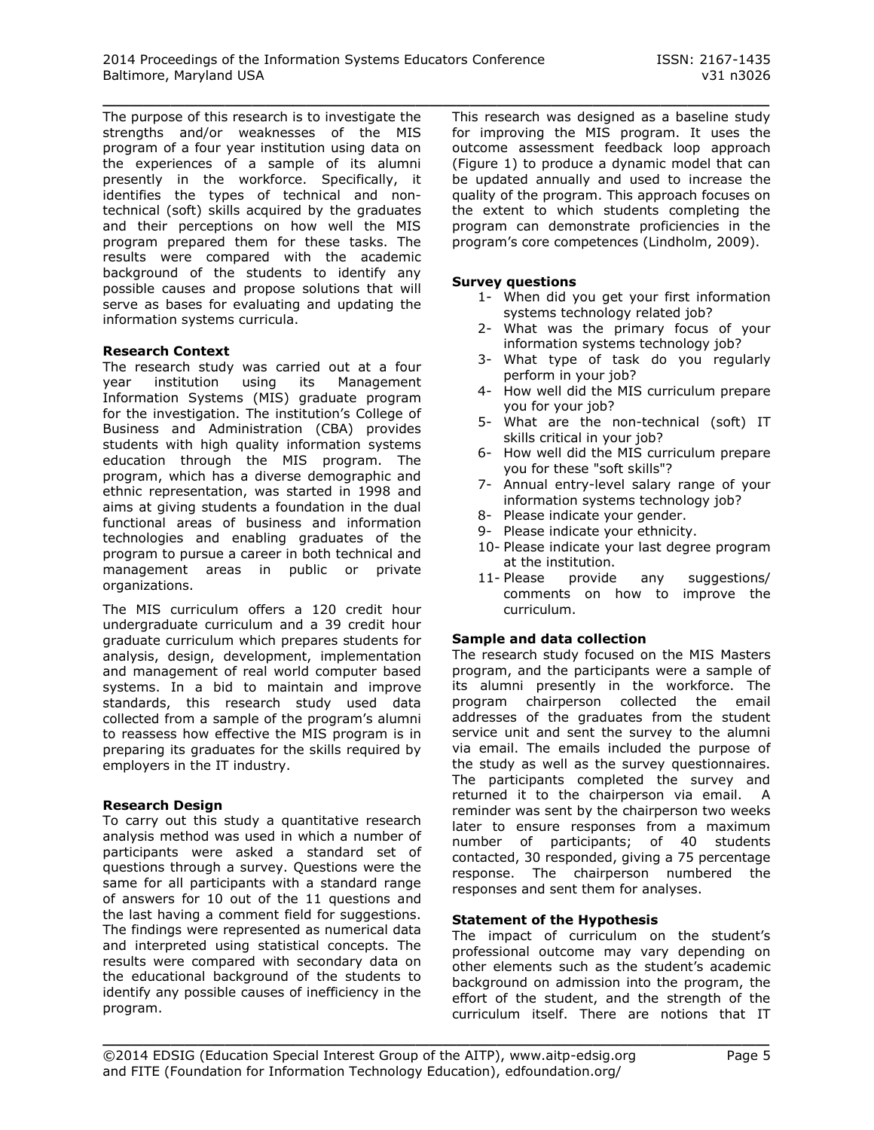\_\_\_\_\_\_\_\_\_\_\_\_\_\_\_\_\_\_\_\_\_\_\_\_\_\_\_\_\_\_\_\_\_\_\_\_\_\_\_\_\_\_\_\_\_\_\_\_\_ The purpose of this research is to investigate the strengths and/or weaknesses of the MIS program of a four year institution using data on the experiences of a sample of its alumni presently in the workforce. Specifically, it identifies the types of technical and nontechnical (soft) skills acquired by the graduates and their perceptions on how well the MIS program prepared them for these tasks. The results were compared with the academic background of the students to identify any possible causes and propose solutions that will serve as bases for evaluating and updating the information systems curricula.

## **Research Context**

The research study was carried out at a four year institution using its Management Information Systems (MIS) graduate program for the investigation. The institution's College of Business and Administration (CBA) provides students with high quality information systems education through the MIS program. The program, which has a diverse demographic and ethnic representation, was started in 1998 and aims at giving students a foundation in the dual functional areas of business and information technologies and enabling graduates of the program to pursue a career in both technical and management areas in public or private organizations.

The MIS curriculum offers a 120 credit hour undergraduate curriculum and a 39 credit hour graduate curriculum which prepares students for analysis, design, development, implementation and management of real world computer based systems. In a bid to maintain and improve standards, this research study used data collected from a sample of the program's alumni to reassess how effective the MIS program is in preparing its graduates for the skills required by employers in the IT industry.

#### **Research Design**

To carry out this study a quantitative research analysis method was used in which a number of participants were asked a standard set of questions through a survey. Questions were the same for all participants with a standard range of answers for 10 out of the 11 questions and the last having a comment field for suggestions. The findings were represented as numerical data and interpreted using statistical concepts. The results were compared with secondary data on the educational background of the students to identify any possible causes of inefficiency in the program.

This research was designed as a baseline study for improving the MIS program. It uses the outcome assessment feedback loop approach (Figure 1) to produce a dynamic model that can be updated annually and used to increase the quality of the program. This approach focuses on the extent to which students completing the program can demonstrate proficiencies in the program's core competences (Lindholm, 2009).

#### **Survey questions**

- 1- When did you get your first information systems technology related job?
- 2- What was the primary focus of your information systems technology job?
- 3- What type of task do you regularly perform in your job?
- 4- How well did the MIS curriculum prepare you for your job?
- 5- What are the non-technical (soft) IT skills critical in your job?
- 6- How well did the MIS curriculum prepare you for these "soft skills"?
- 7- Annual entry-level salary range of your information systems technology job?
- 8- Please indicate your gender.
- 9- Please indicate your ethnicity.
- 10- Please indicate your last degree program at the institution.
- 11- Please provide any suggestions/ comments on how to improve the curriculum.

# **Sample and data collection**

The research study focused on the MIS Masters program, and the participants were a sample of its alumni presently in the workforce. The program chairperson collected the email addresses of the graduates from the student service unit and sent the survey to the alumni via email. The emails included the purpose of the study as well as the survey questionnaires. The participants completed the survey and returned it to the chairperson via email. A reminder was sent by the chairperson two weeks later to ensure responses from a maximum number of participants; of 40 students contacted, 30 responded, giving a 75 percentage response. The chairperson numbered the responses and sent them for analyses.

#### **Statement of the Hypothesis**

The impact of curriculum on the student's professional outcome may vary depending on other elements such as the student's academic background on admission into the program, the effort of the student, and the strength of the curriculum itself. There are notions that IT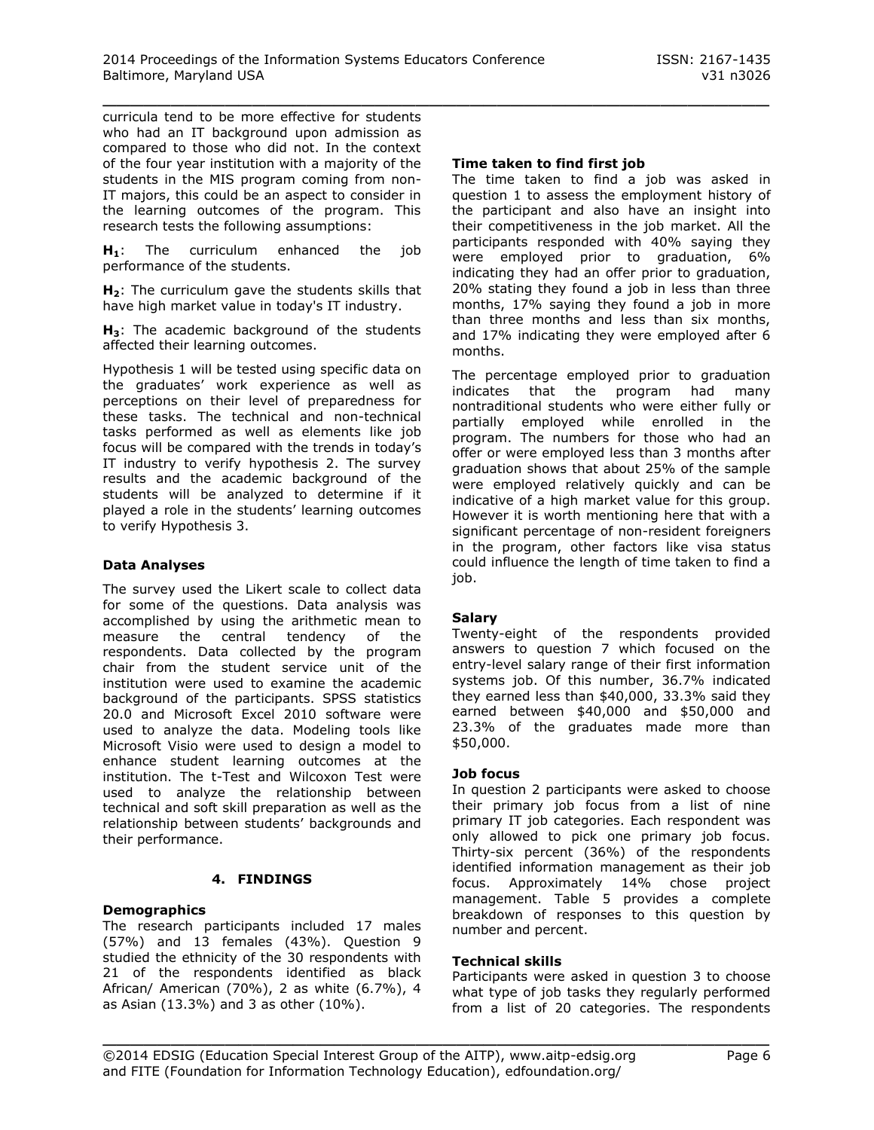curricula tend to be more effective for students who had an IT background upon admission as compared to those who did not. In the context of the four year institution with a majority of the students in the MIS program coming from non-IT majors, this could be an aspect to consider in the learning outcomes of the program. This research tests the following assumptions:

**H1**: The curriculum enhanced the job performance of the students.

**H2**: The curriculum gave the students skills that have high market value in today's IT industry.

**H3**: The academic background of the students affected their learning outcomes.

Hypothesis 1 will be tested using specific data on the graduates' work experience as well as perceptions on their level of preparedness for these tasks. The technical and non-technical tasks performed as well as elements like job focus will be compared with the trends in today's IT industry to verify hypothesis 2. The survey results and the academic background of the students will be analyzed to determine if it played a role in the students' learning outcomes to verify Hypothesis 3.

# **Data Analyses**

The survey used the Likert scale to collect data for some of the questions. Data analysis was accomplished by using the arithmetic mean to measure the central tendency of the respondents. Data collected by the program chair from the student service unit of the institution were used to examine the academic background of the participants. SPSS statistics 20.0 and Microsoft Excel 2010 software were used to analyze the data. Modeling tools like Microsoft Visio were used to design a model to enhance student learning outcomes at the institution. The t-Test and Wilcoxon Test were used to analyze the relationship between technical and soft skill preparation as well as the relationship between students' backgrounds and their performance.

#### **4. FINDINGS**

#### **Demographics**

The research participants included 17 males (57%) and 13 females (43%). Question 9 studied the ethnicity of the 30 respondents with 21 of the respondents identified as black African/ American (70%), 2 as white (6.7%), 4 as Asian (13.3%) and 3 as other (10%).

#### **Time taken to find first job**

The time taken to find a job was asked in question 1 to assess the employment history of the participant and also have an insight into their competitiveness in the job market. All the participants responded with 40% saying they were employed prior to graduation, 6% indicating they had an offer prior to graduation, 20% stating they found a job in less than three months, 17% saying they found a job in more than three months and less than six months, and 17% indicating they were employed after 6 months.

The percentage employed prior to graduation indicates that the program had many nontraditional students who were either fully or partially employed while enrolled in the program. The numbers for those who had an offer or were employed less than 3 months after graduation shows that about 25% of the sample were employed relatively quickly and can be indicative of a high market value for this group. However it is worth mentioning here that with a significant percentage of non-resident foreigners in the program, other factors like visa status could influence the length of time taken to find a job.

#### **Salary**

Twenty-eight of the respondents provided answers to question 7 which focused on the entry-level salary range of their first information systems job. Of this number, 36.7% indicated they earned less than \$40,000, 33.3% said they earned between \$40,000 and \$50,000 and 23.3% of the graduates made more than \$50,000.

#### **Job focus**

In question 2 participants were asked to choose their primary job focus from a list of nine primary IT job categories. Each respondent was only allowed to pick one primary job focus. Thirty-six percent (36%) of the respondents identified information management as their job focus. Approximately 14% chose project management. Table 5 provides a complete breakdown of responses to this question by number and percent.

#### **Technical skills**

Participants were asked in question 3 to choose what type of job tasks they regularly performed from a list of 20 categories. The respondents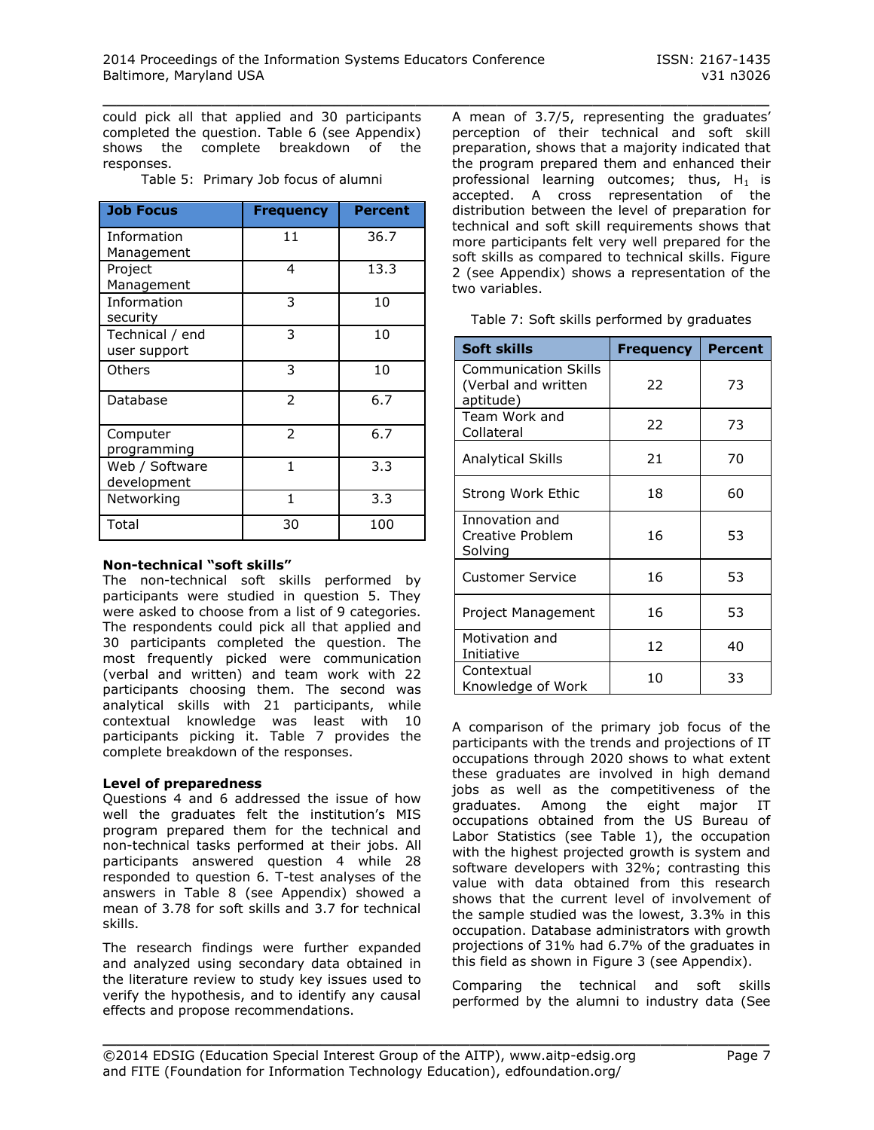could pick all that applied and 30 participants completed the question. Table 6 (see Appendix) shows the complete breakdown of the responses.

| <b>Job Focus</b>                | <b>Frequency</b> | <b>Percent</b> |
|---------------------------------|------------------|----------------|
| Information<br>Management       | 11               | 36.7           |
| Project<br>Management           | 4                | 13.3           |
| Information<br>security         | 3                | 10             |
| Technical / end<br>user support | 3                | 10             |
| Others                          | 3                | 10             |
| Database                        | $\overline{2}$   | 6.7            |
| Computer<br>programming         | $\mathcal{P}$    | 6.7            |
| Web / Software<br>development   | 1                | 3.3            |
| Networking                      | 1                | 3.3            |
| Total                           | 30               | 100            |

Table 5: Primary Job focus of alumni

#### **Non-technical "soft skills"**

The non-technical soft skills performed by participants were studied in question 5. They were asked to choose from a list of 9 categories. The respondents could pick all that applied and 30 participants completed the question. The most frequently picked were communication (verbal and written) and team work with 22 participants choosing them. The second was analytical skills with 21 participants, while contextual knowledge was least with 10 participants picking it. Table 7 provides the complete breakdown of the responses.

#### **Level of preparedness**

Questions 4 and 6 addressed the issue of how well the graduates felt the institution's MIS program prepared them for the technical and non-technical tasks performed at their jobs. All participants answered question 4 while 28 responded to question 6. T-test analyses of the answers in Table 8 (see Appendix) showed a mean of 3.78 for soft skills and 3.7 for technical skills.

The research findings were further expanded and analyzed using secondary data obtained in the literature review to study key issues used to verify the hypothesis, and to identify any causal effects and propose recommendations.

A mean of 3.7/5, representing the graduates' perception of their technical and soft skill preparation, shows that a majority indicated that the program prepared them and enhanced their professional learning outcomes; thus,  $H_1$  is accepted. A cross representation of the distribution between the level of preparation for technical and soft skill requirements shows that more participants felt very well prepared for the soft skills as compared to technical skills. Figure 2 (see Appendix) shows a representation of the two variables.

| Soft skills                                                     | <b>Frequency</b> | <b>Percent</b> |
|-----------------------------------------------------------------|------------------|----------------|
| <b>Communication Skills</b><br>(Verbal and written<br>aptitude) | 22               | 73             |
| Team Work and<br>Collateral                                     | 22               | 73             |
| Analytical Skills                                               | 21               | 70             |
| Strong Work Ethic                                               | 18               | 60             |
| Innovation and<br>Creative Problem<br>Solving                   | 16               | 53             |
| <b>Customer Service</b>                                         | 16               | 53             |
| Project Management                                              | 16               | 53             |
| Motivation and<br>Initiative                                    | 12               | 40             |
| Contextual<br>Knowledge of Work                                 | 10               | 33             |

A comparison of the primary job focus of the participants with the trends and projections of IT occupations through 2020 shows to what extent these graduates are involved in high demand jobs as well as the competitiveness of the graduates. Among the eight major IT occupations obtained from the US Bureau of Labor Statistics (see Table 1), the occupation with the highest projected growth is system and software developers with 32%; contrasting this value with data obtained from this research shows that the current level of involvement of the sample studied was the lowest, 3.3% in this occupation. Database administrators with growth projections of 31% had 6.7% of the graduates in this field as shown in Figure 3 (see Appendix).

Comparing the technical and soft skills performed by the alumni to industry data (See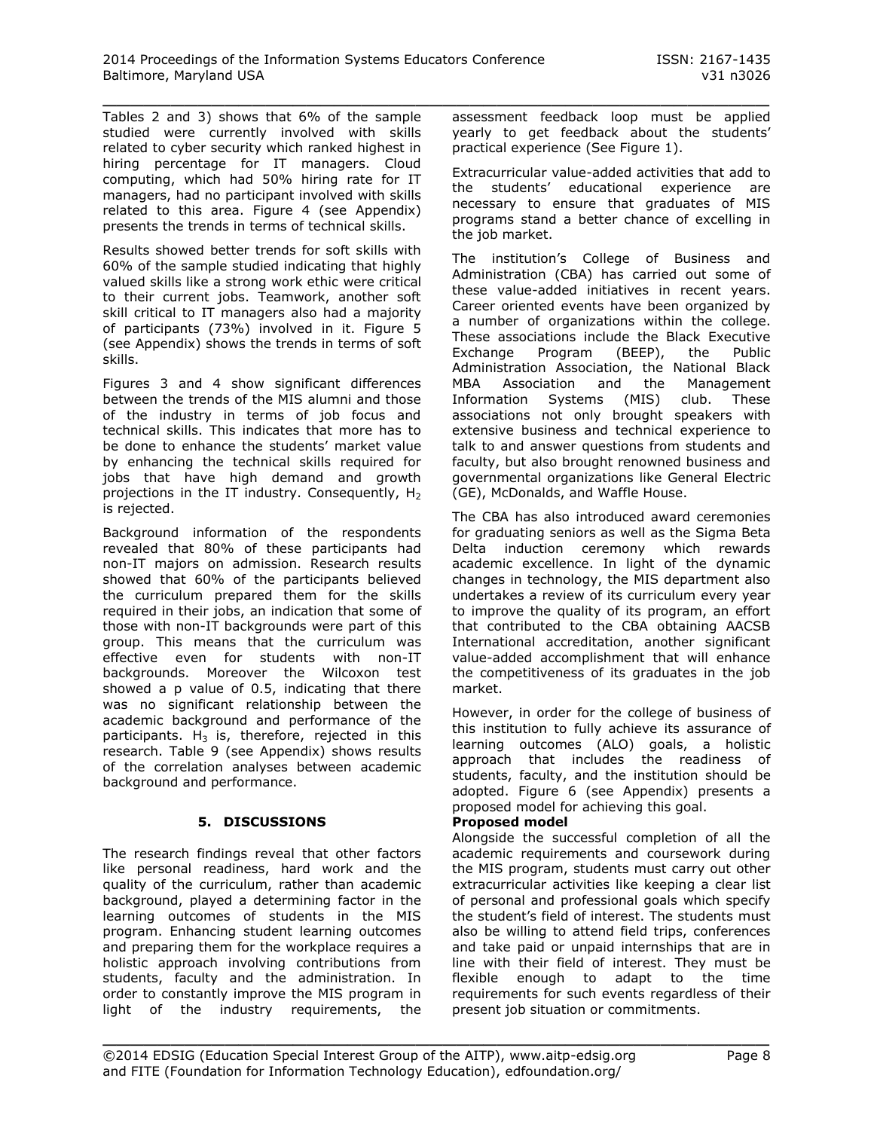Tables 2 and 3) shows that 6% of the sample studied were currently involved with skills related to cyber security which ranked highest in hiring percentage for IT managers. Cloud computing, which had 50% hiring rate for IT managers, had no participant involved with skills related to this area. Figure 4 (see Appendix) presents the trends in terms of technical skills.

Results showed better trends for soft skills with 60% of the sample studied indicating that highly valued skills like a strong work ethic were critical to their current jobs. Teamwork, another soft skill critical to IT managers also had a majority of participants (73%) involved in it. Figure 5 (see Appendix) shows the trends in terms of soft skills.

Figures 3 and 4 show significant differences between the trends of the MIS alumni and those of the industry in terms of job focus and technical skills. This indicates that more has to be done to enhance the students' market value by enhancing the technical skills required for jobs that have high demand and growth projections in the IT industry. Consequently,  $H_2$ is rejected.

Background information of the respondents revealed that 80% of these participants had non-IT majors on admission. Research results showed that 60% of the participants believed the curriculum prepared them for the skills required in their jobs, an indication that some of those with non-IT backgrounds were part of this group. This means that the curriculum was effective even for students with non-IT backgrounds. Moreover the Wilcoxon test showed a p value of 0.5, indicating that there was no significant relationship between the academic background and performance of the participants.  $H_3$  is, therefore, rejected in this research. Table 9 (see Appendix) shows results of the correlation analyses between academic background and performance.

# **5. DISCUSSIONS**

The research findings reveal that other factors like personal readiness, hard work and the quality of the curriculum, rather than academic background, played a determining factor in the learning outcomes of students in the MIS program. Enhancing student learning outcomes and preparing them for the workplace requires a holistic approach involving contributions from students, faculty and the administration. In order to constantly improve the MIS program in light of the industry requirements, the

\_\_\_\_\_\_\_\_\_\_\_\_\_\_\_\_\_\_\_\_\_\_\_\_\_\_\_\_\_\_\_\_\_\_\_\_\_\_\_\_\_\_\_\_\_\_\_\_\_ assessment feedback loop must be applied yearly to get feedback about the students' practical experience (See Figure 1).

> Extracurricular value-added activities that add to the students' educational experience are necessary to ensure that graduates of MIS programs stand a better chance of excelling in the job market.

The institution's College of Business and Administration (CBA) has carried out some of these value-added initiatives in recent years. Career oriented events have been organized by a number of organizations within the college. These associations include the Black Executive Exchange Program (BEEP), the Public Administration Association, the National Black MBA Association and the Management Information Systems (MIS) club. These associations not only brought speakers with extensive business and technical experience to talk to and answer questions from students and faculty, but also brought renowned business and governmental organizations like General Electric (GE), McDonalds, and Waffle House.

The CBA has also introduced award ceremonies for graduating seniors as well as the Sigma Beta Delta induction ceremony which rewards academic excellence. In light of the dynamic changes in technology, the MIS department also undertakes a review of its curriculum every year to improve the quality of its program, an effort that contributed to the CBA obtaining AACSB International accreditation, another significant value-added accomplishment that will enhance the competitiveness of its graduates in the job market.

However, in order for the college of business of this institution to fully achieve its assurance of learning outcomes (ALO) goals, a holistic approach that includes the readiness of students, faculty, and the institution should be adopted. Figure 6 (see Appendix) presents a proposed model for achieving this goal.

# **Proposed model**

Alongside the successful completion of all the academic requirements and coursework during the MIS program, students must carry out other extracurricular activities like keeping a clear list of personal and professional goals which specify the student's field of interest. The students must also be willing to attend field trips, conferences and take paid or unpaid internships that are in line with their field of interest. They must be flexible enough to adapt to the time requirements for such events regardless of their present job situation or commitments.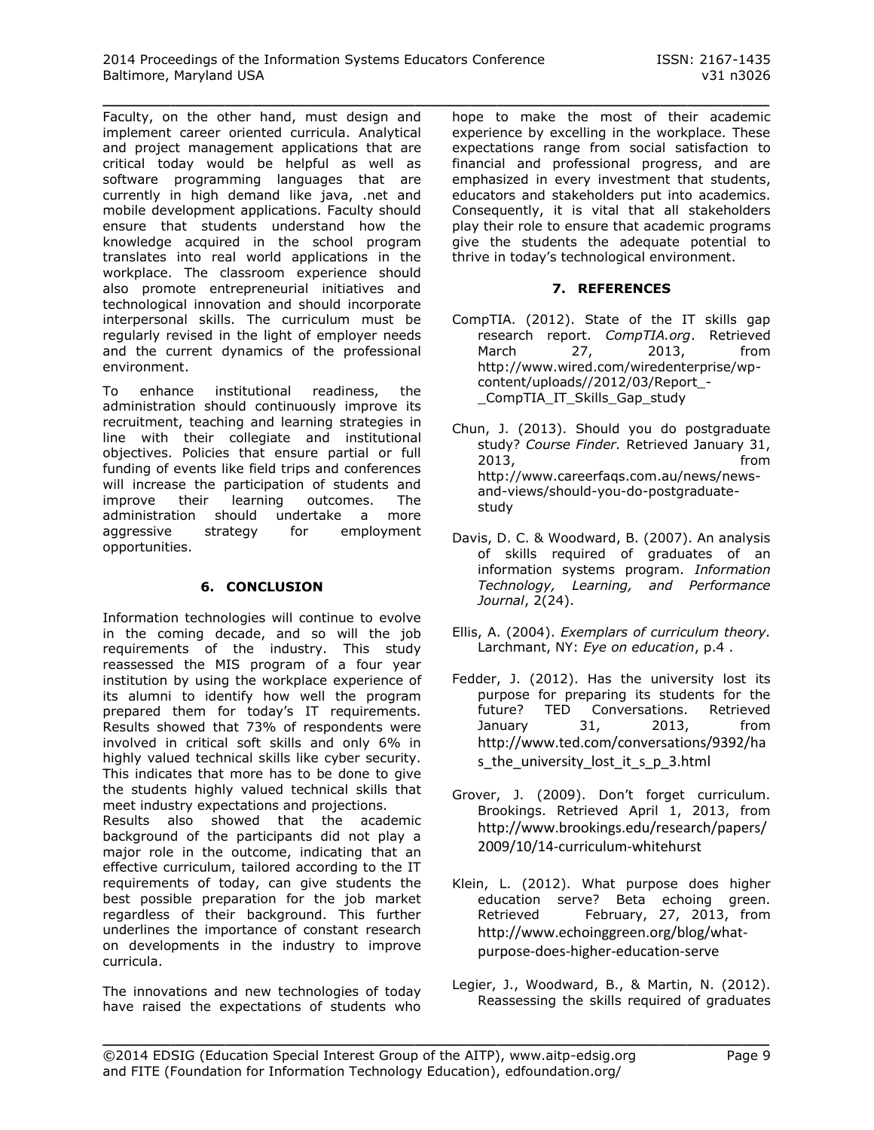Faculty, on the other hand, must design and implement career oriented curricula. Analytical and project management applications that are critical today would be helpful as well as software programming languages that are currently in high demand like java, .net and mobile development applications. Faculty should ensure that students understand how the knowledge acquired in the school program translates into real world applications in the workplace. The classroom experience should also promote entrepreneurial initiatives and technological innovation and should incorporate interpersonal skills. The curriculum must be regularly revised in the light of employer needs and the current dynamics of the professional environment.

To enhance institutional readiness, the administration should continuously improve its recruitment, teaching and learning strategies in line with their collegiate and institutional objectives. Policies that ensure partial or full funding of events like field trips and conferences will increase the participation of students and improve their learning outcomes. The administration should undertake a more aggressive strategy for employment opportunities.

# **6. CONCLUSION**

Information technologies will continue to evolve in the coming decade, and so will the job requirements of the industry. This study reassessed the MIS program of a four year institution by using the workplace experience of its alumni to identify how well the program prepared them for today's IT requirements. Results showed that 73% of respondents were involved in critical soft skills and only 6% in highly valued technical skills like cyber security. This indicates that more has to be done to give the students highly valued technical skills that meet industry expectations and projections. Results also showed that the academic background of the participants did not play a major role in the outcome, indicating that an

effective curriculum, tailored according to the IT requirements of today, can give students the best possible preparation for the job market regardless of their background. This further underlines the importance of constant research on developments in the industry to improve curricula.

The innovations and new technologies of today have raised the expectations of students who

\_\_\_\_\_\_\_\_\_\_\_\_\_\_\_\_\_\_\_\_\_\_\_\_\_\_\_\_\_\_\_\_\_\_\_\_\_\_\_\_\_\_\_\_\_\_\_\_\_ hope to make the most of their academic experience by excelling in the workplace. These expectations range from social satisfaction to financial and professional progress, and are emphasized in every investment that students, educators and stakeholders put into academics. Consequently, it is vital that all stakeholders play their role to ensure that academic programs give the students the adequate potential to thrive in today's technological environment.

# **7. REFERENCES**

- CompTIA. (2012). State of the IT skills gap research report. *CompTIA.org*. Retrieved March 27, 2013, from [http://www.wired.com/wiredenterprise/wp](http://www.wired.com/wiredenterprise/wp-content/uploads/2012/03/Report_-_CompTIA_IT_Skills_Gap_study)[content/uploads//2012/03/Report\\_-](http://www.wired.com/wiredenterprise/wp-content/uploads/2012/03/Report_-_CompTIA_IT_Skills_Gap_study) [\\_CompTIA\\_IT\\_Skills\\_Gap\\_study](http://www.wired.com/wiredenterprise/wp-content/uploads/2012/03/Report_-_CompTIA_IT_Skills_Gap_study)
- Chun, J. (2013). Should you do postgraduate study? *Course Finder.* Retrieved January 31, 2013, from [http://www.careerfaqs.com.au/news/news](http://www.careerfaqs.com.au/news/news-and-views/should-you-do-postgraduate-study/)[and-views/should-you-do-postgraduate](http://www.careerfaqs.com.au/news/news-and-views/should-you-do-postgraduate-study/)[study](http://www.careerfaqs.com.au/news/news-and-views/should-you-do-postgraduate-study/)
- Davis, D. C. & Woodward, B. (2007). An analysis of skills required of graduates of an information systems program. *Information Technology, Learning, and Performance Journal*, 2(24).
- Ellis, A. (2004). *Exemplars of curriculum theory.* Larchmant, NY: *Eye on education*, p.4 .
- Fedder, J. (2012). Has the university lost its purpose for preparing its students for the future? TED Conversations. Retrieved January 31, 2013, from [http://www.ted.com/conversations/9392/ha](http://www.ted.com/conversations/9392/has_the_university_lost_it_s_p_3.html) s the university lost it s p\_3.html
- Grover, J. (2009). Don't forget curriculum. Brookings. Retrieved April 1, 2013, from [http://www.brookings.edu/research/papers/](http://www.brookings.edu/research/papers/2009/10/14-curriculum-whitehurst) [2009/10/14-curriculum-whitehurst](http://www.brookings.edu/research/papers/2009/10/14-curriculum-whitehurst)
- Klein, L. (2012). What purpose does higher education serve? Beta echoing green. Retrieved February, 27, 2013, from [http://www.echoinggreen.org/blog/what](http://www.echoinggreen.org/blog/what-purpose-does-higher-education-serve)[purpose-does-higher-education-serve](http://www.echoinggreen.org/blog/what-purpose-does-higher-education-serve)
- Legier, J., Woodward, B., & Martin, N. (2012). Reassessing the skills required of graduates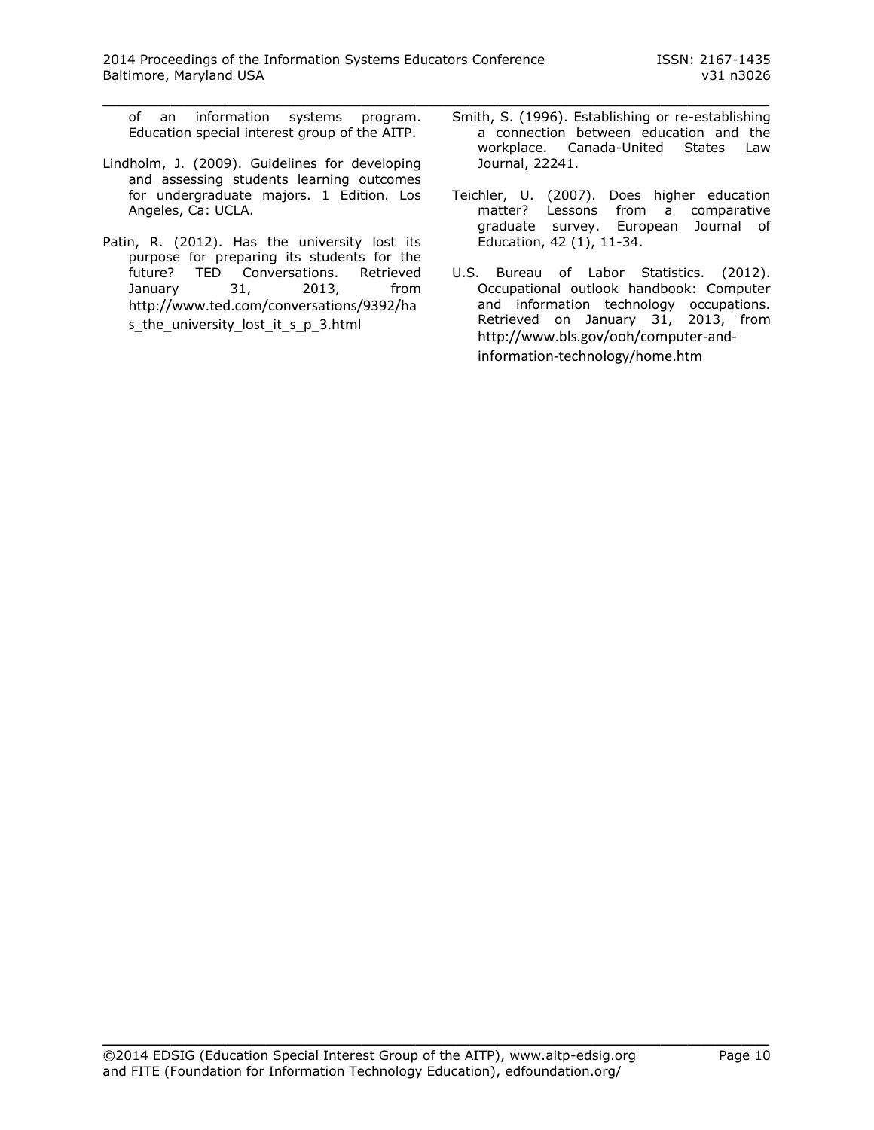of an information systems program. Education special interest group of the AITP.

- Lindholm, J. (2009). Guidelines for developing and assessing students learning outcomes for undergraduate majors. 1 Edition. Los Angeles, Ca: UCLA.
- Patin, R. (2012). Has the university lost its purpose for preparing its students for the future? TED Conversations. Retrieved January 31, 2013, from [http://www.ted.com/conversations/9392/ha](http://www.ted.com/conversations/9392/has_the_university_lost_it_s_p_3.html) [s\\_the\\_university\\_lost\\_it\\_s\\_p\\_3.html](http://www.ted.com/conversations/9392/has_the_university_lost_it_s_p_3.html)
- Smith, S. (1996). Establishing or re-establishing a connection between education and the workplace. Canada-United States Law Journal, 22241.
- Teichler, U. (2007). Does higher education matter? Lessons from a comparative graduate survey. European Journal of Education, 42 (1), 11-34.
- U.S. Bureau of Labor Statistics. (2012). Occupational outlook handbook: Computer and information technology occupations. Retrieved on January 31, 2013, from [http://www.bls.gov/ooh/computer-and](http://www.bls.gov/ooh/computer-and-information-technology/home.htm)[information-technology/home.htm](http://www.bls.gov/ooh/computer-and-information-technology/home.htm)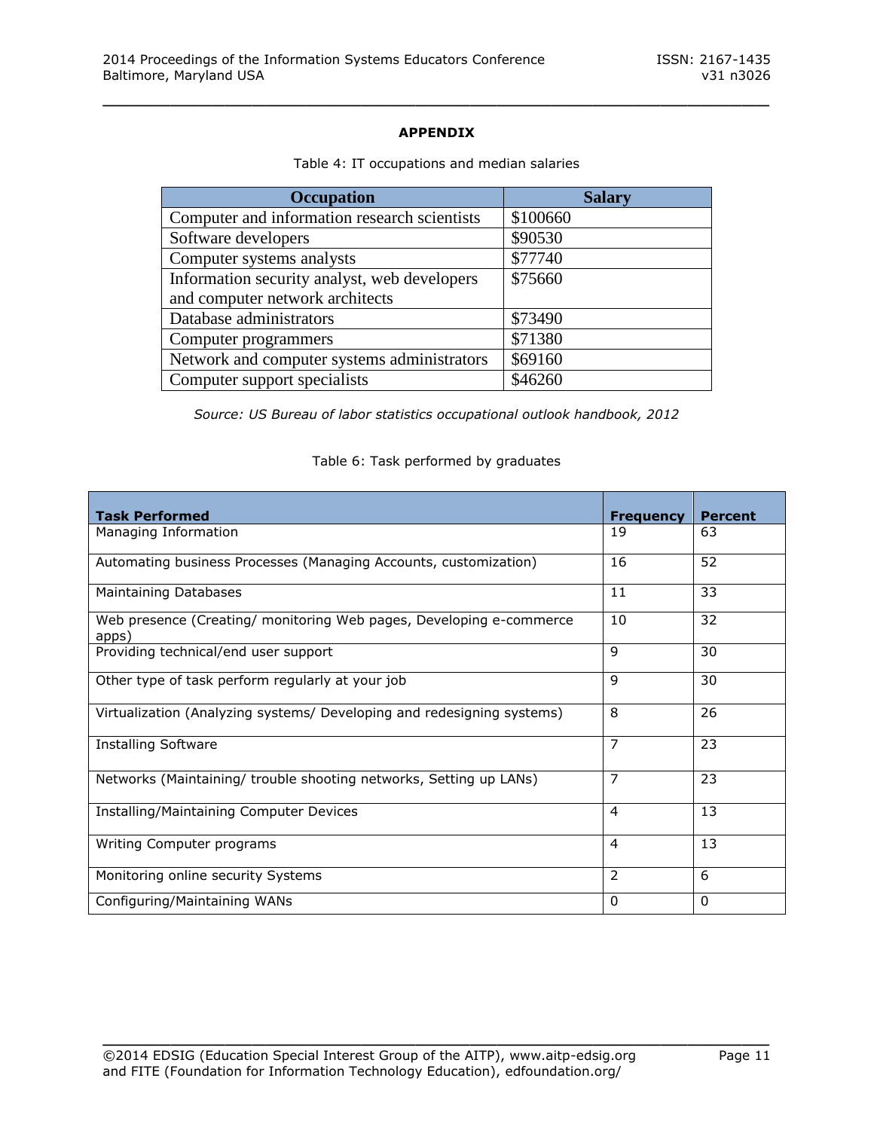# **APPENDIX**

\_\_\_\_\_\_\_\_\_\_\_\_\_\_\_\_\_\_\_\_\_\_\_\_\_\_\_\_\_\_\_\_\_\_\_\_\_\_\_\_\_\_\_\_\_\_\_\_\_

| <b>Occupation</b>                            | <b>Salary</b> |
|----------------------------------------------|---------------|
| Computer and information research scientists | \$100660      |
| Software developers                          | \$90530       |
| Computer systems analysts                    | \$77740       |
| Information security analyst, web developers | \$75660       |
| and computer network architects              |               |
| Database administrators                      | \$73490       |
| Computer programmers                         | \$71380       |
| Network and computer systems administrators  | \$69160       |
| Computer support specialists                 | \$46260       |

#### Table 4: IT occupations and median salaries

*Source: US Bureau of labor statistics occupational outlook handbook, 2012*

#### Table 6: Task performed by graduates

| <b>Task Performed</b>                                                        | <b>Frequency</b> | <b>Percent</b> |
|------------------------------------------------------------------------------|------------------|----------------|
| Managing Information                                                         | 19               | 63             |
| Automating business Processes (Managing Accounts, customization)             | 16               | 52             |
| <b>Maintaining Databases</b>                                                 | 11               | 33             |
| Web presence (Creating/ monitoring Web pages, Developing e-commerce<br>apps) | 10               | 32             |
| Providing technical/end user support                                         | 9                | 30             |
| Other type of task perform regularly at your job                             | 9                | 30             |
| Virtualization (Analyzing systems/ Developing and redesigning systems)       | 8                | 26             |
| <b>Installing Software</b>                                                   | 7                | 23             |
| Networks (Maintaining/ trouble shooting networks, Setting up LANs)           | 7                | 23             |
| <b>Installing/Maintaining Computer Devices</b>                               | 4                | 13             |
| Writing Computer programs                                                    | 4                | 13             |
| Monitoring online security Systems                                           | 2                | 6              |
| Configuring/Maintaining WANs                                                 | 0                | $\mathbf{0}$   |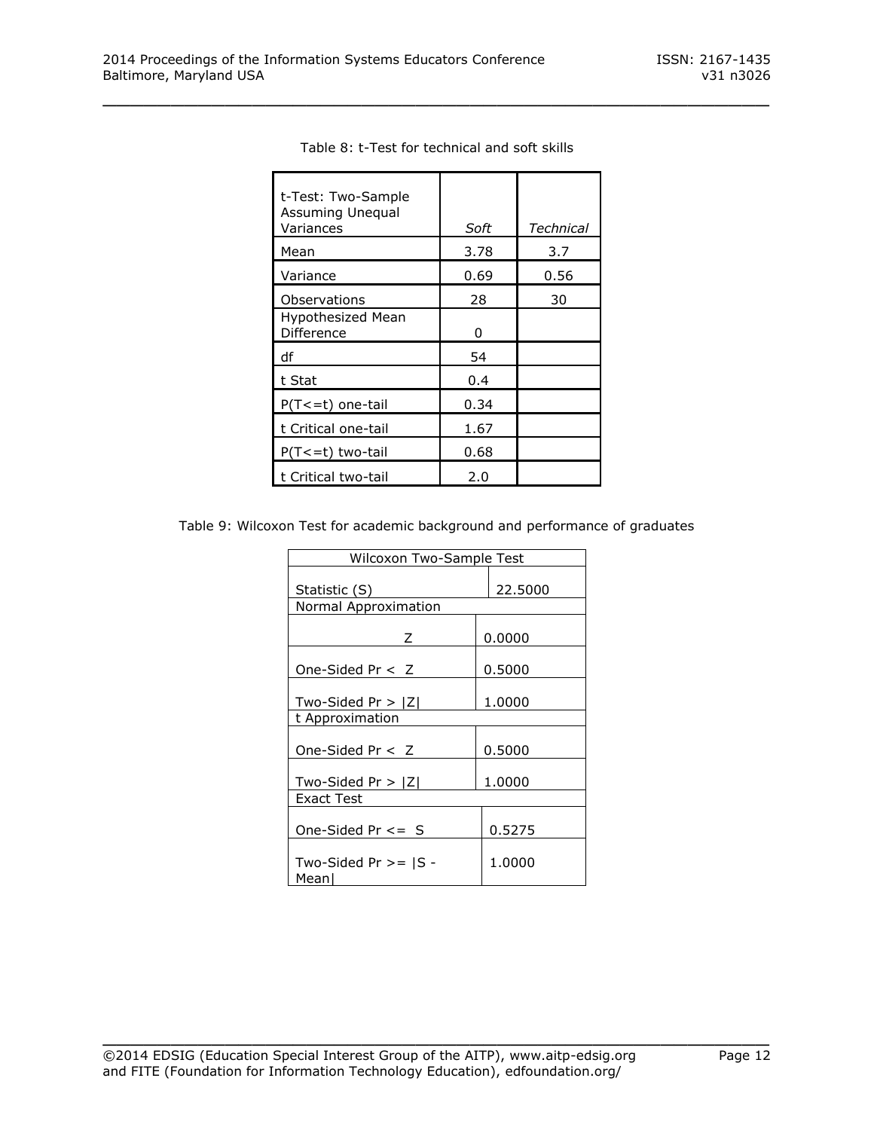| t-Test: Two-Sample<br>Assuming Unequal<br>Variances | Soft | Technical |
|-----------------------------------------------------|------|-----------|
| Mean                                                | 3.78 | 3.7       |
| Variance                                            | 0.69 | 0.56      |
| Observations                                        | 28   | 30        |
| Hypothesized Mean<br>Difference                     | 0    |           |
| df                                                  | 54   |           |
| t Stat                                              | 0.4  |           |
| $P(T \le t)$ one-tail                               | 0.34 |           |
| t Critical one-tail                                 | 1.67 |           |
| $P(T \le t)$ two-tail                               | 0.68 |           |
| t Critical two-tail                                 | 2.0  |           |

| Table 8: t-Test for technical and soft skills |
|-----------------------------------------------|
|-----------------------------------------------|

Table 9: Wilcoxon Test for academic background and performance of graduates

| Wilcoxon Two-Sample Test          |         |
|-----------------------------------|---------|
| Statistic (S)                     | 22.5000 |
| Normal Approximation              |         |
| Z                                 | 0.0000  |
| One-Sided $Pr < Z$                | 0.5000  |
| Two-Sided $Pr >  Z $              | 1.0000  |
| t Approximation                   |         |
| One-Sided $Pr < Z$                | 0.5000  |
| Two-Sided Pr $>$ $ Z $            | 1.0000  |
| Exact Test                        |         |
| One-Sided $Pr \leq 5$             | 0.5275  |
| Two-Sided Pr $>=$ $ S -$<br>Meanl | 1.0000  |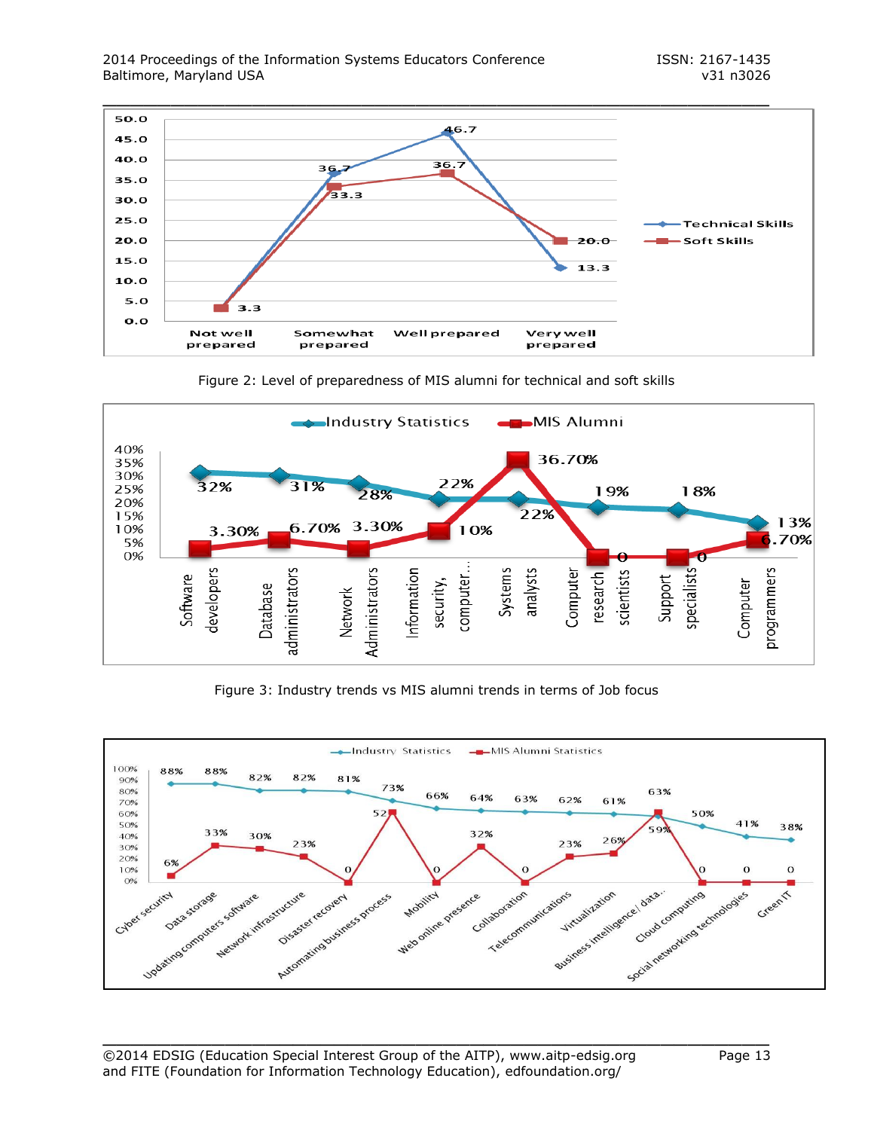







Figure 3: Industry trends vs MIS alumni trends in terms of Job focus

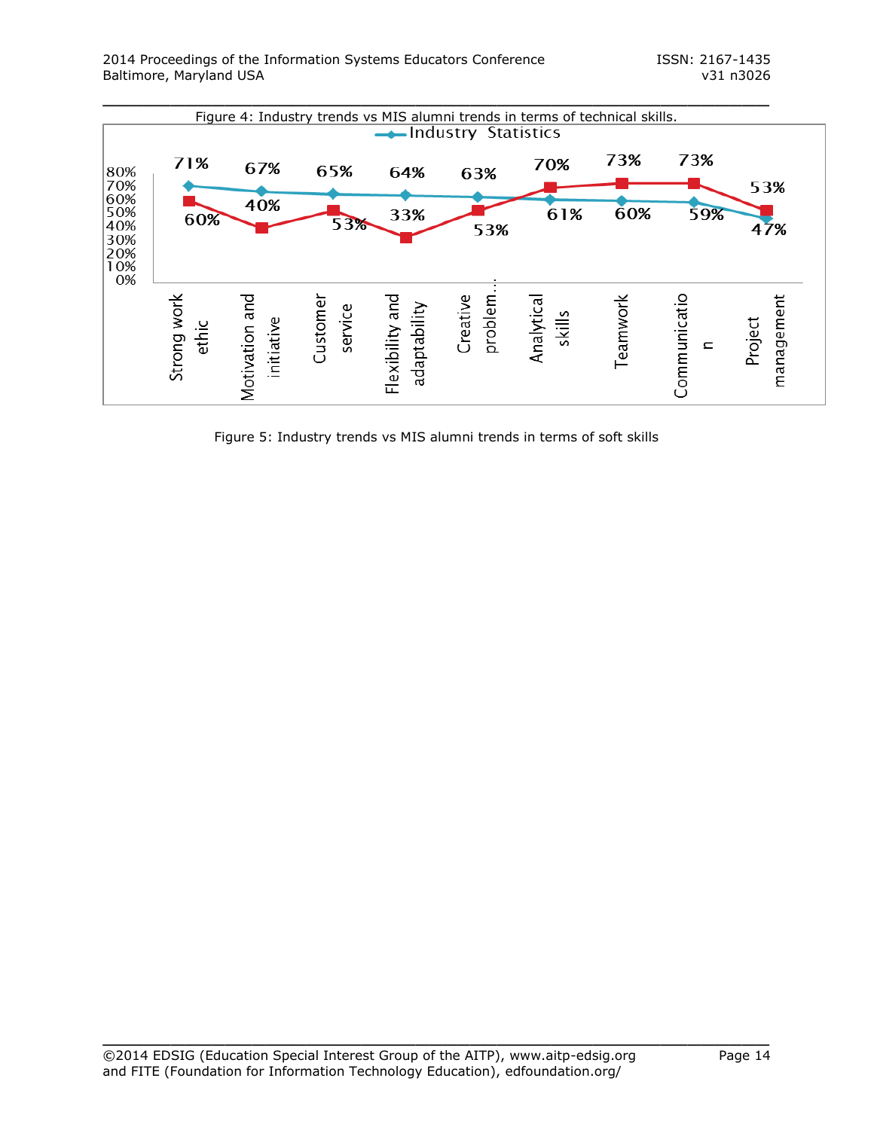

Figure 5: Industry trends vs MIS alumni trends in terms of soft skills